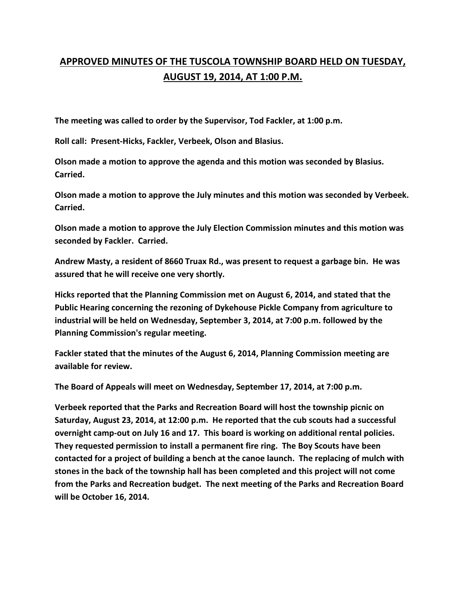## **APPROVED MINUTES OF THE TUSCOLA TOWNSHIP BOARD HELD ON TUESDAY, AUGUST 19, 2014, AT 1:00 P.M.**

**The meeting was called to order by the Supervisor, Tod Fackler, at 1:00 p.m.** 

**Roll call: Present-Hicks, Fackler, Verbeek, Olson and Blasius.** 

**Olson made a motion to approve the agenda and this motion was seconded by Blasius. Carried.** 

**Olson made a motion to approve the July minutes and this motion was seconded by Verbeek. Carried.** 

**Olson made a motion to approve the July Election Commission minutes and this motion was seconded by Fackler. Carried.** 

**Andrew Masty, a resident of 8660 Truax Rd., was present to request a garbage bin. He was assured that he will receive one very shortly.** 

**Hicks reported that the Planning Commission met on August 6, 2014, and stated that the Public Hearing concerning the rezoning of Dykehouse Pickle Company from agriculture to industrial will be held on Wednesday, September 3, 2014, at 7:00 p.m. followed by the Planning Commission's regular meeting.** 

**Fackler stated that the minutes of the August 6, 2014, Planning Commission meeting are available for review.** 

**The Board of Appeals will meet on Wednesday, September 17, 2014, at 7:00 p.m.** 

**Verbeek reported that the Parks and Recreation Board will host the township picnic on Saturday, August 23, 2014, at 12:00 p.m. He reported that the cub scouts had a successful overnight camp-out on July 16 and 17. This board is working on additional rental policies. They requested permission to install a permanent fire ring. The Boy Scouts have been contacted for a project of building a bench at the canoe launch. The replacing of mulch with stones in the back of the township hall has been completed and this project will not come from the Parks and Recreation budget. The next meeting of the Parks and Recreation Board will be October 16, 2014.**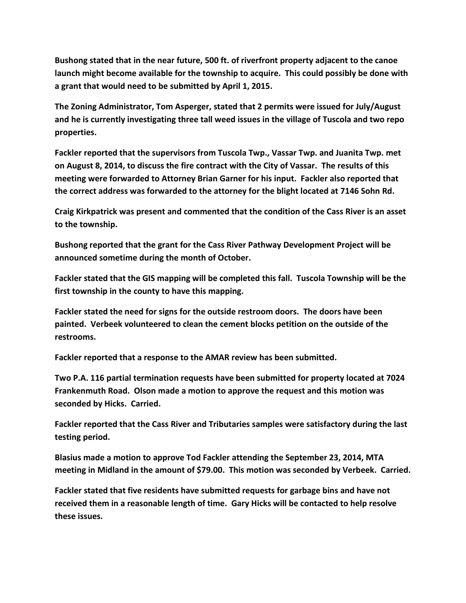**Bushong stated that in the near future, 500 ft. of riverfront property adjacent to the canoe launch might become available for the township to acquire. This could possibly be done with a grant that would need to be submitted by April 1, 2015.** 

**The Zoning Administrator, Tom Asperger, stated that 2 permits were issued for July/August and he is currently investigating three tall weed issues in the village of Tuscola and two repo properties.** 

**Fackler reported that the supervisors from Tuscola Twp., Vassar Twp. and Juanita Twp. met on August 8, 2014, to discuss the fire contract with the City of Vassar. The results of this meeting were forwarded to Attorney Brian Garner for his input. Fackler also reported that the correct address was forwarded to the attorney for the blight located at 7146 Sohn Rd.** 

**Craig Kirkpatrick was present and commented that the condition of the Cass River is an asset to the township.** 

**Bushong reported that the grant for the Cass River Pathway Development Project will be announced sometime during the month of October.** 

**Fackler stated that the GIS mapping will be completed this fall. Tuscola Township will be the first township in the county to have this mapping.** 

**Fackler stated the need for signs for the outside restroom doors. The doors have been painted. Verbeek volunteered to clean the cement blocks petition on the outside of the restrooms.** 

**Fackler reported that a response to the AMAR review has been submitted.** 

**Two P.A. 116 partial termination requests have been submitted for property located at 7024 Frankenmuth Road. Olson made a motion to approve the request and this motion was seconded by Hicks. Carried.** 

**Fackler reported that the Cass River and Tributaries samples were satisfactory during the last testing period.** 

**Blasius made a motion to approve Tod Fackler attending the September 23, 2014, MTA meeting in Midland in the amount of \$79.00. This motion was seconded by Verbeek. Carried.** 

**Fackler stated that five residents have submitted requests for garbage bins and have not received them in a reasonable length of time. Gary Hicks will be contacted to help resolve these issues.**